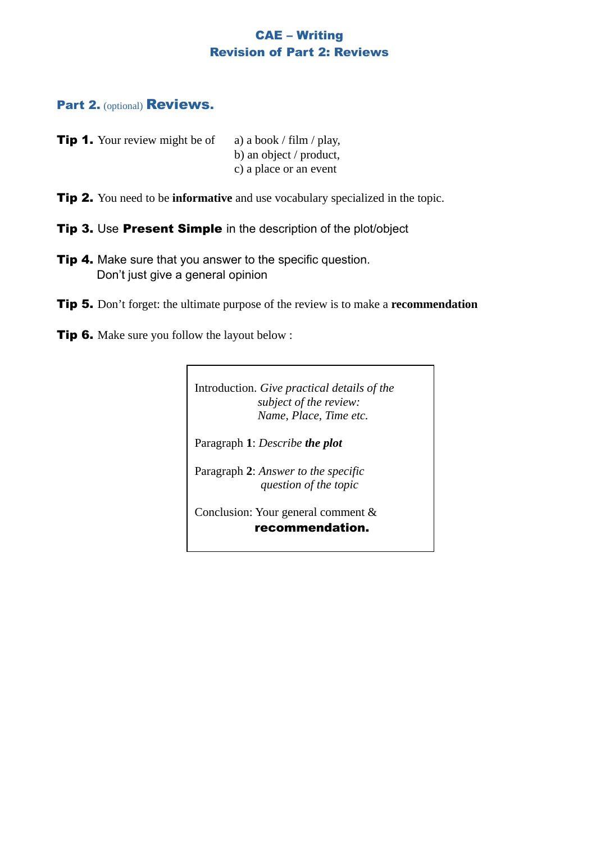# CAE – Writing Revision of Part 2: Reviews

## Part 2. (optional) Reviews.

| <b>Tip 1.</b> Your review might be of | a) a book / film / play, |
|---------------------------------------|--------------------------|
|                                       | b) an object / product,  |
|                                       | c) a place or an event   |

- **Tip 2.** You need to be **informative** and use vocabulary specialized in the topic.
- Tip 3. Use Present Simple in the description of the plot/object
- **Tip 4.** Make sure that you answer to the specific question. Don't just give a general opinion
- Tip 5. Don't forget: the ultimate purpose of the review is to make a **recommendation**
- **Tip 6.** Make sure you follow the layout below :

Introduction. *Give practical details of the subject of the review: Name, Place, Time etc.*

Paragraph **1**: *Describe the plot*

Paragraph **2**: *Answer to the specific question of the topic*

Conclusion: Your general comment & recommendation.